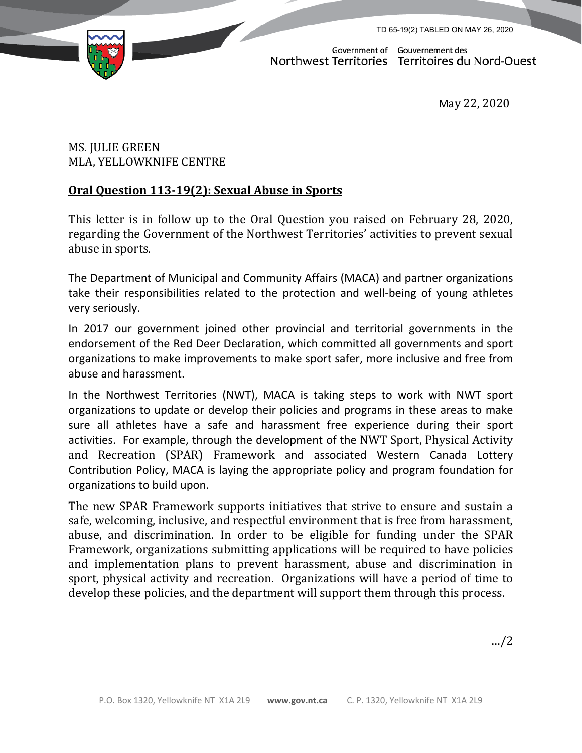TD 65-19(2) TABLED ON MAY 26, 2020



Government of Gouvernement des Northwest Territories Territoires du Nord-Ouest

May 22, 2020

## MS. JULIE GREEN MLA, YELLOWKNIFE CENTRE

## **Oral Question 113-19(2): Sexual Abuse in Sports**

This letter is in follow up to the Oral Question you raised on February 28, 2020, regarding the Government of the Northwest Territories' activities to prevent sexual abuse in sports.

The Department of Municipal and Community Affairs (MACA) and partner organizations take their responsibilities related to the protection and well-being of young athletes very seriously.

In 2017 our government joined other provincial and territorial governments in the endorsement of the Red Deer Declaration, which committed all governments and sport organizations to make improvements to make sport safer, more inclusive and free from abuse and harassment.

In the Northwest Territories (NWT), MACA is taking steps to work with NWT sport organizations to update or develop their policies and programs in these areas to make sure all athletes have a safe and harassment free experience during their sport activities. For example, through the development of the NWT Sport, Physical Activity and Recreation (SPAR) Framework and associated Western Canada Lottery Contribution Policy, MACA is laying the appropriate policy and program foundation for organizations to build upon.

The new SPAR Framework supports initiatives that strive to ensure and sustain a safe, welcoming, inclusive, and respectful environment that is free from harassment, abuse, and discrimination. In order to be eligible for funding under the SPAR Framework, organizations submitting applications will be required to have policies and implementation plans to prevent harassment, abuse and discrimination in sport, physical activity and recreation. Organizations will have a period of time to develop these policies, and the department will support them through this process.

…/2